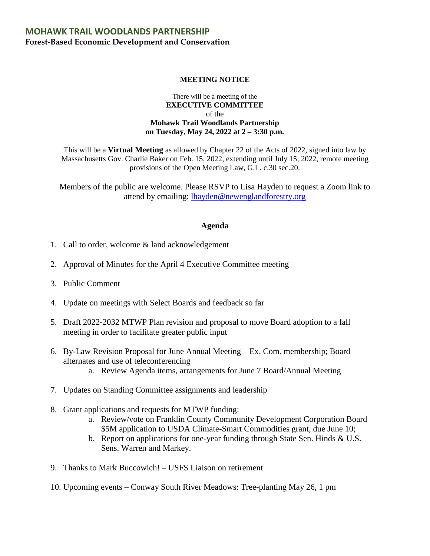## **MOHAWK TRAIL WOODLANDS PARTNERSHIP Forest-Based Economic Development and Conservation**

## **MEETING NOTICE**

## There will be a meeting of the **EXECUTIVE COMMITTEE**  of the **Mohawk Trail Woodlands Partnership on Tuesday, May 24, 2022 at 2 – 3:30 p.m.**

This will be a **Virtual Meeting** as allowed by Chapter 22 of the Acts of 2022, signed into law by Massachusetts Gov. Charlie Baker on Feb. 15, 2022, extending until July 15, 2022, remote meeting provisions of the Open Meeting Law, G.L. c.30 sec.20.

Members of the public are welcome. Please RSVP to Lisa Hayden to request a Zoom link to attend by emailing: [lhayden@newenglandforestry.org](mailto:lhayden@newenglandforestry.org)

## **Agenda**

- 1. Call to order, welcome & land acknowledgement
- 2. Approval of Minutes for the April 4 Executive Committee meeting
- 3. Public Comment
- 4. Update on meetings with Select Boards and feedback so far
- 5. Draft 2022-2032 MTWP Plan revision and proposal to move Board adoption to a fall meeting in order to facilitate greater public input
- 6. By-Law Revision Proposal for June Annual Meeting Ex. Com. membership; Board alternates and use of teleconferencing
	- a. Review Agenda items, arrangements for June 7 Board/Annual Meeting
- 7. Updates on Standing Committee assignments and leadership
- 8. Grant applications and requests for MTWP funding:
	- a. Review/vote on Franklin County Community Development Corporation Board \$5M application to USDA Climate-Smart Commodities grant, due June 10;
	- b. Report on applications for one-year funding through State Sen. Hinds & U.S. Sens. Warren and Markey.
- 9. Thanks to Mark Buccowich! USFS Liaison on retirement
- 10. Upcoming events Conway South River Meadows: Tree-planting May 26, 1 pm